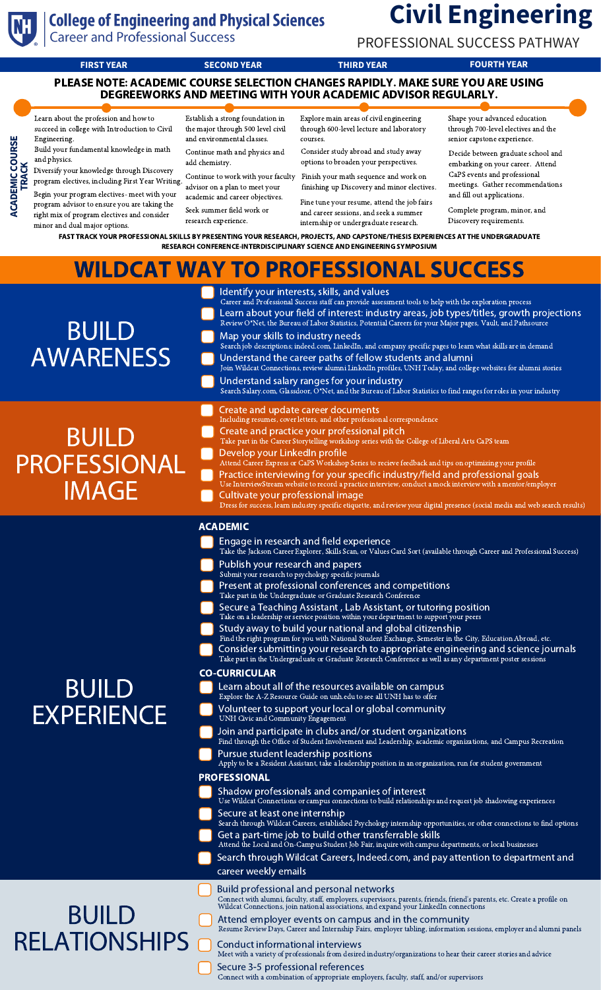

**ACA**

**DEMIC CO<br>TRACK** 

⊇ **R SE**

# **College of Engineering and Physical Sciences**<br>Career and Professional Success

## **Civil Engineering**

PROFESSIONAL SUCCESS PATHWAY

**FIRST YEAR SECOND YEAR THIRD YEAR FOURTH YEAR**

PLEASE NOTE: ACADEMIC COURSE SELECTION CHANGES RAPIDLY. MAKE SURE YOU ARE USING DEGREEWORKS AND MEETING WITH YOUR ACADEMIC ADVISOR REGULARLY.

Learn about the profession and how to succeed in college with Introduction to Civil Engineering.

 Diversify your knowledge through Discovery Build your fundamental knowledge in math and physics.

**TRAC K** Begin your program electives- meet with your program electives, including First Year Writing.

program advisor to ensure you are taking the right mix of program electives and consider minor and dual major options.

Establish a strong foundation in the major through 500 level civil and environmental classes. Continue math and physics and

add chemistry. Continue to work with your faculty Finish your math sequence and work on advisor on a plan to meet your

academic and career objectives. Seek summer field work or

research experience.

Explore main areas of civil engineering through 600-level lecture and laboratory courses.

Consider study abroad and study away options to broaden your perspectives.

finishing up Discovery and minor electives.

Fine tune your resume, attend the job fairs and career sessions, and seek a summer internship or undergraduate research.

Shape your advanced education through 700-level electives and the senior capstone experience.

Decide between graduate school and embarking on your career. Attend CaPS events and professional meetings. Gather recommendations and fill out applications.

Complete program, minor, and Discovery requirements.

FAST TRACK YOUR PROFESSIONAL SKILLS BY PRESENTING YOUR RESEARCH, PROJECTS, AND CAPSTONE/THESIS EXPERIENCES AT THE UNDERGRADUATE RESEARCH CONFERENCE-INTERDISCIPLINARY SCIENCE AND ENGINEERING SYMPOSIUM

| <b>WILDCAT WAY TO PROFESSIONAL SUCCESS</b>          |                                                                                                                                                                                                                                                                                                                                                                                                                                                                                                                                                                                                                                                                                                                                                                                                                                                                                                                                                                                                                                                                                                                                                                                                                                                                                                                                                                                                                                                                                                                                                                                                                                                                                                                                                                                                                                                                                                                                                                                                                                                                                                                                                                                |
|-----------------------------------------------------|--------------------------------------------------------------------------------------------------------------------------------------------------------------------------------------------------------------------------------------------------------------------------------------------------------------------------------------------------------------------------------------------------------------------------------------------------------------------------------------------------------------------------------------------------------------------------------------------------------------------------------------------------------------------------------------------------------------------------------------------------------------------------------------------------------------------------------------------------------------------------------------------------------------------------------------------------------------------------------------------------------------------------------------------------------------------------------------------------------------------------------------------------------------------------------------------------------------------------------------------------------------------------------------------------------------------------------------------------------------------------------------------------------------------------------------------------------------------------------------------------------------------------------------------------------------------------------------------------------------------------------------------------------------------------------------------------------------------------------------------------------------------------------------------------------------------------------------------------------------------------------------------------------------------------------------------------------------------------------------------------------------------------------------------------------------------------------------------------------------------------------------------------------------------------------|
| <b>BUILD</b><br><b>AWARENESS</b>                    | Identify your interests, skills, and values<br>Career and Professional Success staff can provide assessment tools to help with the exploration process<br>Learn about your field of interest: industry areas, job types/titles, growth projections<br>Review O*Net, the Bureau of Labor Statistics, Potential Careers for your Major pages, Vault, and Pathsource<br>Map your skills to industry needs<br>Search job descriptions; indeed.com, LinkedIn, and company specific pages to learn what skills are in demand<br>Understand the career paths of fellow students and alumni<br>Join Wildcat Connections, review alumni LinkedIn profiles, UNH Today, and college websites for alumni stories<br>Understand salary ranges for your industry<br>Search Salary.com, Glassdoor, O*Net, and the Bureau of Labor Statistics to find ranges for roles in your industry                                                                                                                                                                                                                                                                                                                                                                                                                                                                                                                                                                                                                                                                                                                                                                                                                                                                                                                                                                                                                                                                                                                                                                                                                                                                                                        |
| <b>BUILD</b><br><b>PROFESSIONAL</b><br><b>IMAGE</b> | Create and update career documents<br>Including resumes, cover letters, and other professional correspondence<br>Create and practice your professional pitch<br>Take part in the Career Storytelling workshop series with the College of Liberal Arts CaPS team<br>Develop your LinkedIn profile<br>Attend Career Express or CaPS Workshop Series to recieve feedback and tips on optimizing your profile<br>Practice interviewing for your specific industry/field and professional goals<br>Use InterviewStream website to record a practice interview, conduct a mock interview with a mentor/employer<br>Cultivate your professional image<br>Dress for success, learn industry specific etiquette, and review your digital presence (social media and web search results)                                                                                                                                                                                                                                                                                                                                                                                                                                                                                                                                                                                                                                                                                                                                                                                                                                                                                                                                                                                                                                                                                                                                                                                                                                                                                                                                                                                                 |
| <b>BUILD</b><br><b>EXPERIENCE</b>                   | <b>ACADEMIC</b><br>Engage in research and field experience<br>Take the Jackson Career Explorer, Skills Scan, or Values Card Sort (available through Career and Professional Success)<br>Publish your research and papers<br>Submit your research to psychology specific journals<br>Present at professional conferences and competitions<br>Take part in the Undergraduate or Graduate Research Conference<br>Secure a Teaching Assistant, Lab Assistant, or tutoring position<br>Take on a leadership or service position within your department to support your peers<br>Study away to build your national and global citizenship<br>Find the right program for you with National Student Exchange, Semester in the City, Education Abroad, etc.<br>Consider submitting your research to appropriate engineering and science journals<br>Take part in the Undergraduate or Graduate Research Conference as well as any department poster sessions<br><b>CO-CURRICULAR</b><br>Learn about all of the resources available on campus<br>Explore the A-Z Resource Guide on unh.edu to see all UNH has to offer<br>Volunteer to support your local or global community<br>UNH Civic and Community Engagement<br>Join and participate in clubs and/or student organizations<br>Find through the Office of Student Involvement and Leadership, academic organizations, and Campus Recreation<br>Pursue student leadership positions<br>Apply to be a Resident Assistant, take a leadership position in an organization, run for student government<br><b>PROFESSIONAL</b><br>Shadow professionals and companies of interest<br>Use Wildcat Connections or campus connections to build relationships and request job shadowing experiences<br>Secure at least one internship<br>Search through Wildcat Careers, established Psychology internship opportunities, or other connections to find options<br>Get a part-time job to build other transferrable skills<br>Attend the Local and On-Campus Student Job Fair, inquire with campus departments, or local businesses<br>Search through Wildcat Careers, Indeed.com, and pay attention to department and<br>career weekly emails |
| <b>BUILD</b><br><b>RELATIONSHIPS</b>                | Build professional and personal networks<br>Connect with alumni, faculty, staff, employers, supervisors, parents, friends, friend's parents, etc. Create a profile on Wildcat Connections, join national associations, and expand your LinkedIn connections<br>Attend employer events on campus and in the community<br>Resume Review Days, Career and Internship Fairs, employer tabling, information sessions, employer and alumni panels<br>Conduct informational interviews<br>Meet with a variety of professionals from desired industry/organizations to hear their career stories and advice<br>Secure 3-5 professional references<br>Connect with a combination of appropriate employers, faculty, staff, and/or supervisors                                                                                                                                                                                                                                                                                                                                                                                                                                                                                                                                                                                                                                                                                                                                                                                                                                                                                                                                                                                                                                                                                                                                                                                                                                                                                                                                                                                                                                           |